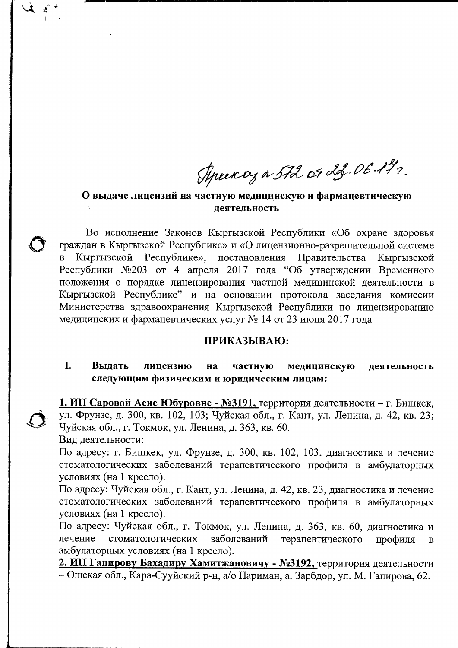Aprency a 572 or 23.06.192.

## О выдаче лицензий на частную медицинскую и фармацевтическую леятельность

Во исполнение Законов Кыргызской Республики «Об охране здоровья граждан в Кыргызской Республике» и «О лицензионно-разрешительной системе Кыргызской Республике», постановления Правительства  $\overline{B}$ Кыргызской Республики №203 от 4 апреля 2017 года "Об утверждении Временного положения о порядке лицензирования частной медицинской деятельности в Кыргызской Республике" и на основании протокола заседания комиссии Министерства здравоохранения Кыргызской Республики по лицензированию медицинских и фармацевтических услуг № 14 от 23 июня 2017 года

### ПРИКАЗЫВАЮ:

#### L. Выдать лицензию на частную медицинскую деятельность следующим физическим и юридическим лицам:

1. ИП Саровой Асие Юбуровне - №3191, территория деятельности – г. Бишкек, ул. Фрунзе, д. 300, кв. 102, 103; Чуйская обл., г. Кант, ул. Ленина, д. 42, кв. 23; Чуйская обл., г. Токмок, ул. Ленина, д. 363, кв. 60.

Вид деятельности:

По адресу: г. Бишкек, ул. Фрунзе, д. 300, кв. 102, 103, диагностика и лечение стоматологических заболеваний терапевтического профиля в амбулаторных условиях (на 1 кресло).

По адресу: Чуйская обл., г. Кант, ул. Ленина, д. 42, кв. 23, диагностика и лечение стоматологических заболеваний терапевтического профиля в амбулаторных условиях (на 1 кресло).

По адресу: Чуйская обл., г. Токмок, ул. Ленина, д. 363, кв. 60, диагностика и лечение стоматологических заболеваний терапевтического профиля  $\bf{B}$ амбулаторных условиях (на 1 кресло).

2. ИП Гапирову Бахадиру Хамитжановичу - №3192, территория деятельности - Ошская обл., Кара-Сууйский р-н, а/о Нариман, а. Зарбдор, ул. М. Гапирова, 62.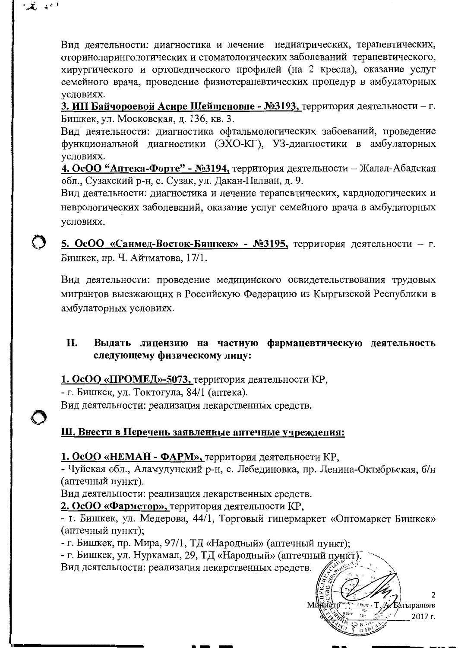Вид деятельности: диагностика и лечение педиатрических, терапевтических, оториноларингологических и стоматологических заболеваний терапевтического, хирургического и ортопедического профилей (на 2 кресла), оказание услуг семейного врача, проведение физиотерапевтических процедур в амбулаторных условиях.

3. ИП Байчороевой Асире Шейшеновне - №3193, территория деятельности – г. Бишкек, ул. Московская, д. 136, кв. 3.

Вил леятельности: диагностика офтальмологических забоеваний, проведение функциональной диагностики (ЭХО-КГ), УЗ-диагностики в амбулаторных условиях.

4. ОсОО "Аптека-Форте" - №3194, территория деятельности - Жалал-Абадская обл., Сузакский р-н, с. Сузак, ул. Дакан-Палван, д. 9.

Вид деятельности: диагностика и лечение терапевтических, кардиологических и неврологических заболеваний, оказание услуг семейного врача в амбулаторных условиях.

5. ОсОО «Санмед-Восток-Бишкек» - №3195, территория деятельности - г. Бишкек, пр. Ч. Айтматова, 17/1.

Вид деятельности: проведение медицинского освидетельствования трудовых мигрантов выезжающих в Российскую Федерацию из Кыргызской Республики в амбулаторных условиях.

### II. Выдать лицензию на частную фармацевтическую деятельность следующему физическому лицу:

1. ОсОО «ПРОМЕД»-5073, территория деятельности КР,

- г. Бишкек, ул. Токтогула, 84/1 (аптека).

じえ い

Вид деятельности: реализация лекарственных средств.

# Ш. Внести в Перечень заявленные аптечные учреждения:

# 1. ОсОО «НЕМАН - ФАРМ», территория деятельности КР,

- Чуйская обл., Аламудунский р-н, с. Лебединовка, пр. Ленина-Октябрьская, б/н (аптечный пункт).

Вид деятельности: реализация лекарственных средств.

2. ОсОО «Фармстор», территория деятельности КР,

- г. Бишкек, ул. Медерова, 44/1, Торговый гипермаркет «Оптомаркет Бишкек» (аптечный пункт);

- г. Бишкек, пр. Мира, 97/1, ТД «Народный» (аптечный пункт);

- г. Бишкек, ул. Нуркамал, 29, ТД «Народный» (аптечный пункт).

Вид деятельности: реализация лекарственных средств.

Батыралиев 2017 г.